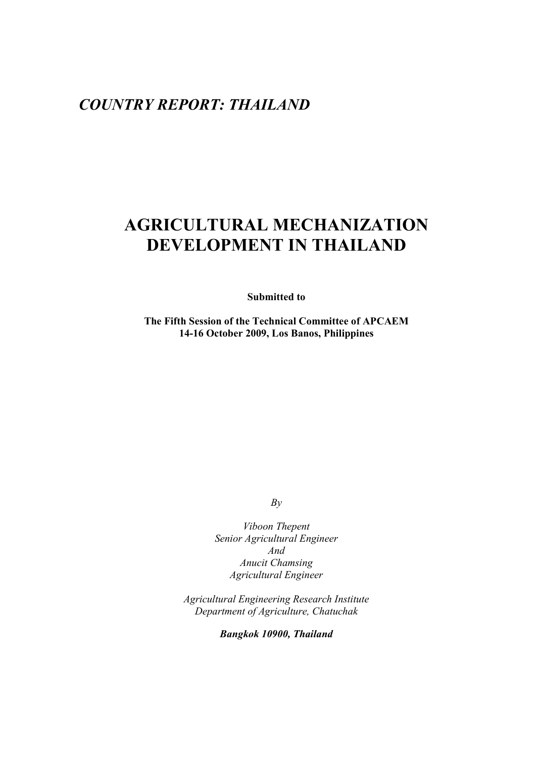# *COUNTRY REPORT: THAILAND*

# **AGRICULTURAL MECHANIZATION DEVELOPMENT IN THAILAND**

**Submitted to** 

**The Fifth Session of the Technical Committee of APCAEM 14-16 October 2009, Los Banos, Philippines** 

*By* 

*Viboon Thepent Senior Agricultural Engineer And Anucit Chamsing Agricultural Engineer* 

*Agricultural Engineering Research Institute Department of Agriculture, Chatuchak* 

*Bangkok 10900, Thailand*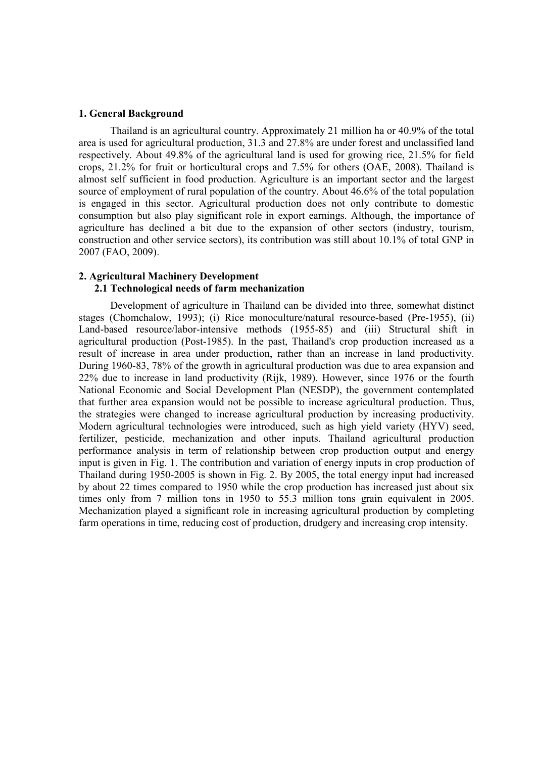#### **1. General Background**

Thailand is an agricultural country. Approximately 21 million ha or 40.9% of the total area is used for agricultural production, 31.3 and 27.8% are under forest and unclassified land respectively. About 49.8% of the agricultural land is used for growing rice, 21.5% for field crops, 21.2% for fruit or horticultural crops and 7.5% for others (OAE, 2008). Thailand is almost self sufficient in food production. Agriculture is an important sector and the largest source of employment of rural population of the country. About 46.6% of the total population is engaged in this sector. Agricultural production does not only contribute to domestic consumption but also play significant role in export earnings. Although, the importance of agriculture has declined a bit due to the expansion of other sectors (industry, tourism, construction and other service sectors), its contribution was still about 10.1% of total GNP in 2007 (FAO, 2009).

#### **2. Agricultural Machinery Development**

#### **2.1 Technological needs of farm mechanization**

Development of agriculture in Thailand can be divided into three, somewhat distinct stages (Chomchalow, 1993); (i) Rice monoculture/natural resource-based (Pre-1955), (ii) Land-based resource/labor-intensive methods (1955-85) and (iii) Structural shift in agricultural production (Post-1985). In the past, Thailand's crop production increased as a result of increase in area under production, rather than an increase in land productivity. During 1960-83, 78% of the growth in agricultural production was due to area expansion and 22% due to increase in land productivity (Rijk, 1989). However, since 1976 or the fourth National Economic and Social Development Plan (NESDP), the government contemplated that further area expansion would not be possible to increase agricultural production. Thus, the strategies were changed to increase agricultural production by increasing productivity. Modern agricultural technologies were introduced, such as high yield variety (HYV) seed, fertilizer, pesticide, mechanization and other inputs. Thailand agricultural production performance analysis in term of relationship between crop production output and energy input is given in Fig. 1. The contribution and variation of energy inputs in crop production of Thailand during 1950-2005 is shown in Fig. 2. By 2005, the total energy input had increased by about 22 times compared to 1950 while the crop production has increased just about six times only from 7 million tons in 1950 to 55.3 million tons grain equivalent in 2005. Mechanization played a significant role in increasing agricultural production by completing farm operations in time, reducing cost of production, drudgery and increasing crop intensity.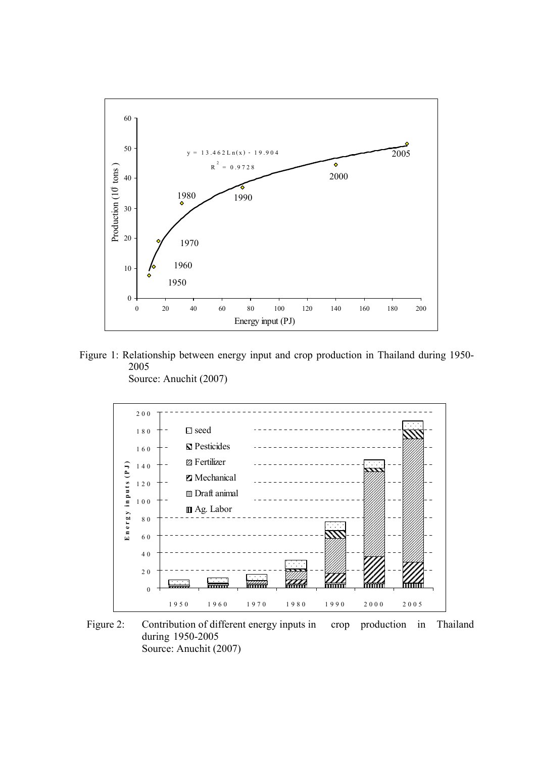

Figure 1: Relationship between energy input and crop production in Thailand during 1950- 2005





Figure 2: Contribution of different energy inputs in crop production in Thailand during 1950-2005 Source: Anuchit (2007)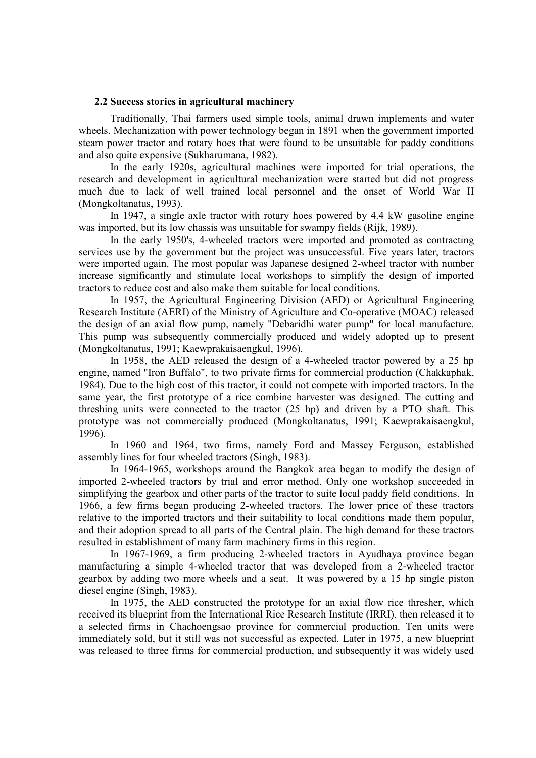#### **2.2 Success stories in agricultural machinery**

Traditionally, Thai farmers used simple tools, animal drawn implements and water wheels. Mechanization with power technology began in 1891 when the government imported steam power tractor and rotary hoes that were found to be unsuitable for paddy conditions and also quite expensive (Sukharumana, 1982).

 In the early 1920s, agricultural machines were imported for trial operations, the research and development in agricultural mechanization were started but did not progress much due to lack of well trained local personnel and the onset of World War II (Mongkoltanatus, 1993).

In 1947, a single axle tractor with rotary hoes powered by 4.4 kW gasoline engine was imported, but its low chassis was unsuitable for swampy fields (Rijk, 1989).

In the early 1950's, 4-wheeled tractors were imported and promoted as contracting services use by the government but the project was unsuccessful. Five years later, tractors were imported again. The most popular was Japanese designed 2-wheel tractor with number increase significantly and stimulate local workshops to simplify the design of imported tractors to reduce cost and also make them suitable for local conditions.

 In 1957, the Agricultural Engineering Division (AED) or Agricultural Engineering Research Institute (AERI) of the Ministry of Agriculture and Co-operative (MOAC) released the design of an axial flow pump, namely "Debaridhi water pump" for local manufacture. This pump was subsequently commercially produced and widely adopted up to present (Mongkoltanatus, 1991; Kaewprakaisaengkul, 1996).

In 1958, the AED released the design of a 4-wheeled tractor powered by a 25 hp engine, named "Iron Buffalo", to two private firms for commercial production (Chakkaphak, 1984). Due to the high cost of this tractor, it could not compete with imported tractors. In the same year, the first prototype of a rice combine harvester was designed. The cutting and threshing units were connected to the tractor (25 hp) and driven by a PTO shaft. This prototype was not commercially produced (Mongkoltanatus, 1991; Kaewprakaisaengkul, 1996).

In 1960 and 1964, two firms, namely Ford and Massey Ferguson, established assembly lines for four wheeled tractors (Singh, 1983).

 In 1964-1965, workshops around the Bangkok area began to modify the design of imported 2-wheeled tractors by trial and error method. Only one workshop succeeded in simplifying the gearbox and other parts of the tractor to suite local paddy field conditions. In 1966, a few firms began producing 2-wheeled tractors. The lower price of these tractors relative to the imported tractors and their suitability to local conditions made them popular, and their adoption spread to all parts of the Central plain. The high demand for these tractors resulted in establishment of many farm machinery firms in this region.

In 1967-1969, a firm producing 2-wheeled tractors in Ayudhaya province began manufacturing a simple 4-wheeled tractor that was developed from a 2-wheeled tractor gearbox by adding two more wheels and a seat. It was powered by a 15 hp single piston diesel engine (Singh, 1983).

In 1975, the AED constructed the prototype for an axial flow rice thresher, which received its blueprint from the International Rice Research Institute (IRRI), then released it to a selected firms in Chachoengsao province for commercial production. Ten units were immediately sold, but it still was not successful as expected. Later in 1975, a new blueprint was released to three firms for commercial production, and subsequently it was widely used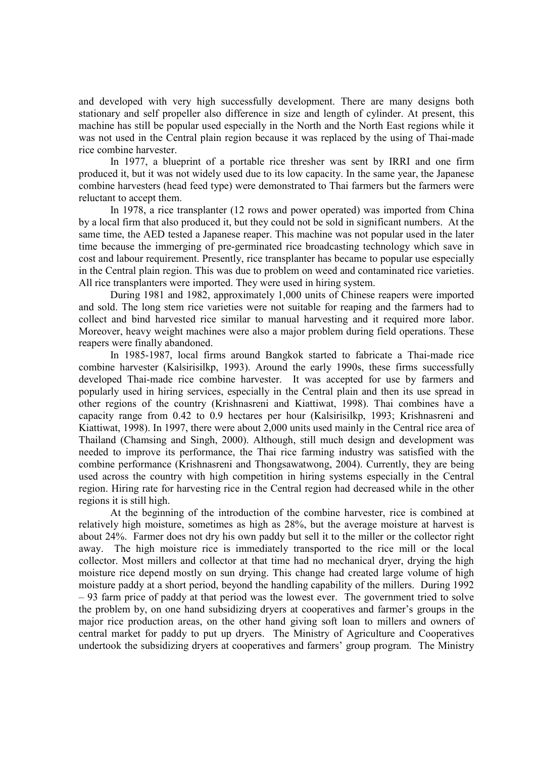and developed with very high successfully development. There are many designs both stationary and self propeller also difference in size and length of cylinder. At present, this machine has still be popular used especially in the North and the North East regions while it was not used in the Central plain region because it was replaced by the using of Thai-made rice combine harvester.

In 1977, a blueprint of a portable rice thresher was sent by IRRI and one firm produced it, but it was not widely used due to its low capacity. In the same year, the Japanese combine harvesters (head feed type) were demonstrated to Thai farmers but the farmers were reluctant to accept them.

In 1978, a rice transplanter (12 rows and power operated) was imported from China by a local firm that also produced it, but they could not be sold in significant numbers. At the same time, the AED tested a Japanese reaper. This machine was not popular used in the later time because the immerging of pre-germinated rice broadcasting technology which save in cost and labour requirement. Presently, rice transplanter has became to popular use especially in the Central plain region. This was due to problem on weed and contaminated rice varieties. All rice transplanters were imported. They were used in hiring system.

During 1981 and 1982, approximately 1,000 units of Chinese reapers were imported and sold. The long stem rice varieties were not suitable for reaping and the farmers had to collect and bind harvested rice similar to manual harvesting and it required more labor. Moreover, heavy weight machines were also a major problem during field operations. These reapers were finally abandoned.

In 1985-1987, local firms around Bangkok started to fabricate a Thai-made rice combine harvester (Kalsirisilkp, 1993). Around the early 1990s, these firms successfully developed Thai-made rice combine harvester. It was accepted for use by farmers and popularly used in hiring services, especially in the Central plain and then its use spread in other regions of the country (Krishnasreni and Kiattiwat, 1998). Thai combines have a capacity range from 0.42 to 0.9 hectares per hour (Kalsirisilkp, 1993; Krishnasreni and Kiattiwat, 1998). In 1997, there were about 2,000 units used mainly in the Central rice area of Thailand (Chamsing and Singh, 2000). Although, still much design and development was needed to improve its performance, the Thai rice farming industry was satisfied with the combine performance (Krishnasreni and Thongsawatwong, 2004). Currently, they are being used across the country with high competition in hiring systems especially in the Central region. Hiring rate for harvesting rice in the Central region had decreased while in the other regions it is still high.

 At the beginning of the introduction of the combine harvester, rice is combined at relatively high moisture, sometimes as high as 28%, but the average moisture at harvest is about 24%. Farmer does not dry his own paddy but sell it to the miller or the collector right away. The high moisture rice is immediately transported to the rice mill or the local collector. Most millers and collector at that time had no mechanical dryer, drying the high moisture rice depend mostly on sun drying. This change had created large volume of high moisture paddy at a short period, beyond the handling capability of the millers. During 1992 – 93 farm price of paddy at that period was the lowest ever. The government tried to solve the problem by, on one hand subsidizing dryers at cooperatives and farmer's groups in the major rice production areas, on the other hand giving soft loan to millers and owners of central market for paddy to put up dryers. The Ministry of Agriculture and Cooperatives undertook the subsidizing dryers at cooperatives and farmers' group program. The Ministry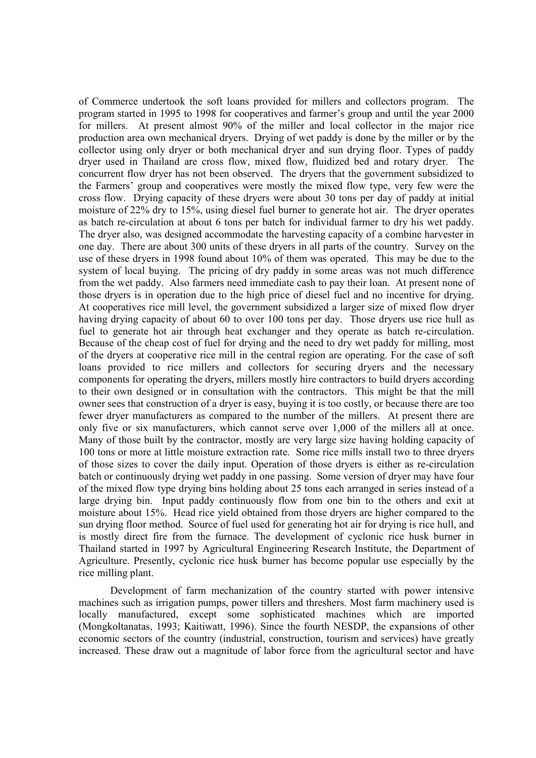of Commerce undertook the soft loans provided for millers and collectors program. The program started in 1995 to 1998 for cooperatives and farmer's group and until the year 2000 for millers. At present almost 90% of the miller and local collector in the major rice production area own mechanical dryers. Drying of wet paddy is done by the miller or by the collector using only dryer or both mechanical dryer and sun drying floor. Types of paddy dryer used in Thailand are cross flow, mixed flow, fluidized bed and rotary dryer. The concurrent flow dryer has not been observed. The dryers that the government subsidized to the Farmers' group and cooperatives were mostly the mixed flow type, very few were the cross flow. Drying capacity of these dryers were about 30 tons per day of paddy at initial moisture of 22% dry to 15%, using diesel fuel burner to generate hot air. The dryer operates as batch re-circulation at about 6 tons per batch for individual farmer to dry his wet paddy. The dryer also, was designed accommodate the harvesting capacity of a combine harvester in one day. There are about 300 units of these dryers in all parts of the country. Survey on the use of these dryers in 1998 found about 10% of them was operated. This may be due to the system of local buying. The pricing of dry paddy in some areas was not much difference from the wet paddy. Also farmers need immediate cash to pay their loan. At present none of those dryers is in operation due to the high price of diesel fuel and no incentive for drying. At cooperatives rice mill level, the government subsidized a larger size of mixed flow dryer having drying capacity of about 60 to over 100 tons per day. Those dryers use rice hull as fuel to generate hot air through heat exchanger and they operate as batch re-circulation. Because of the cheap cost of fuel for drying and the need to dry wet paddy for milling, most of the dryers at cooperative rice mill in the central region are operating. For the case of soft loans provided to rice millers and collectors for securing dryers and the necessary components for operating the dryers, millers mostly hire contractors to build dryers according to their own designed or in consultation with the contractors. This might be that the mill owner sees that construction of a dryer is easy, buying it is too costly, or because there are too fewer dryer manufacturers as compared to the number of the millers. At present there are only five or six manufacturers, which cannot serve over 1,000 of the millers all at once. Many of those built by the contractor, mostly are very large size having holding capacity of 100 tons or more at little moisture extraction rate. Some rice mills install two to three dryers of those sizes to cover the daily input. Operation of those dryers is either as re-circulation batch or continuously drying wet paddy in one passing. Some version of dryer may have four of the mixed flow type drying bins holding about 25 tons each arranged in series instead of a large drying bin. Input paddy continuously flow from one bin to the others and exit at moisture about 15%. Head rice yield obtained from those dryers are higher compared to the sun drying floor method. Source of fuel used for generating hot air for drying is rice hull, and is mostly direct fire from the furnace. The development of cyclonic rice husk burner in Thailand started in 1997 by Agricultural Engineering Research Institute, the Department of Agriculture. Presently, cyclonic rice husk burner has become popular use especially by the rice milling plant.

 Development of farm mechanization of the country started with power intensive machines such as irrigation pumps, power tillers and threshers. Most farm machinery used is locally manufactured, except some sophisticated machines which are imported (Mongkoltanatas, 1993; Kaitiwatt, 1996). Since the fourth NESDP, the expansions of other economic sectors of the country (industrial, construction, tourism and services) have greatly increased. These draw out a magnitude of labor force from the agricultural sector and have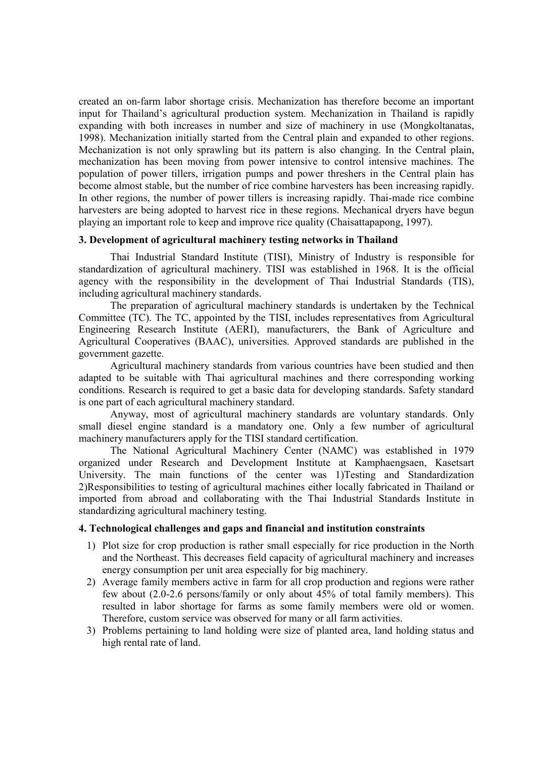created an on-farm labor shortage crisis. Mechanization has therefore become an important input for Thailand's agricultural production system. Mechanization in Thailand is rapidly expanding with both increases in number and size of machinery in use (Mongkoltanatas, 1998). Mechanization initially started from the Central plain and expanded to other regions. Mechanization is not only sprawling but its pattern is also changing. In the Central plain, mechanization has been moving from power intensive to control intensive machines. The population of power tillers, irrigation pumps and power threshers in the Central plain has become almost stable, but the number of rice combine harvesters has been increasing rapidly. In other regions, the number of power tillers is increasing rapidly. Thai-made rice combine harvesters are being adopted to harvest rice in these regions. Mechanical dryers have begun playing an important role to keep and improve rice quality (Chaisattapapong, 1997).

#### **3. Development of agricultural machinery testing networks in Thailand**

Thai Industrial Standard Institute (TISI), Ministry of Industry is responsible for standardization of agricultural machinery. TISI was established in 1968. It is the official agency with the responsibility in the development of Thai Industrial Standards (TIS), including agricultural machinery standards.

The preparation of agricultural machinery standards is undertaken by the Technical Committee (TC). The TC, appointed by the TISI, includes representatives from Agricultural Engineering Research Institute (AERI), manufacturers, the Bank of Agriculture and Agricultural Cooperatives (BAAC), universities. Approved standards are published in the government gazette.

Agricultural machinery standards from various countries have been studied and then adapted to be suitable with Thai agricultural machines and there corresponding working conditions. Research is required to get a basic data for developing standards. Safety standard is one part of each agricultural machinery standard.

Anyway, most of agricultural machinery standards are voluntary standards. Only small diesel engine standard is a mandatory one. Only a few number of agricultural machinery manufacturers apply for the TISI standard certification.

The National Agricultural Machinery Center (NAMC) was established in 1979 organized under Research and Development Institute at Kamphaengsaen, Kasetsart University. The main functions of the center was 1)Testing and Standardization 2)Responsibilities to testing of agricultural machines either locally fabricated in Thailand or imported from abroad and collaborating with the Thai Industrial Standards Institute in standardizing agricultural machinery testing.

#### **4. Technological challenges and gaps and financial and institution constraints**

- 1) Plot size for crop production is rather small especially for rice production in the North and the Northeast. This decreases field capacity of agricultural machinery and increases energy consumption per unit area especially for big machinery.
- 2) Average family members active in farm for all crop production and regions were rather few about (2.0-2.6 persons/family or only about 45% of total family members). This resulted in labor shortage for farms as some family members were old or women. Therefore, custom service was observed for many or all farm activities.
- 3) Problems pertaining to land holding were size of planted area, land holding status and high rental rate of land.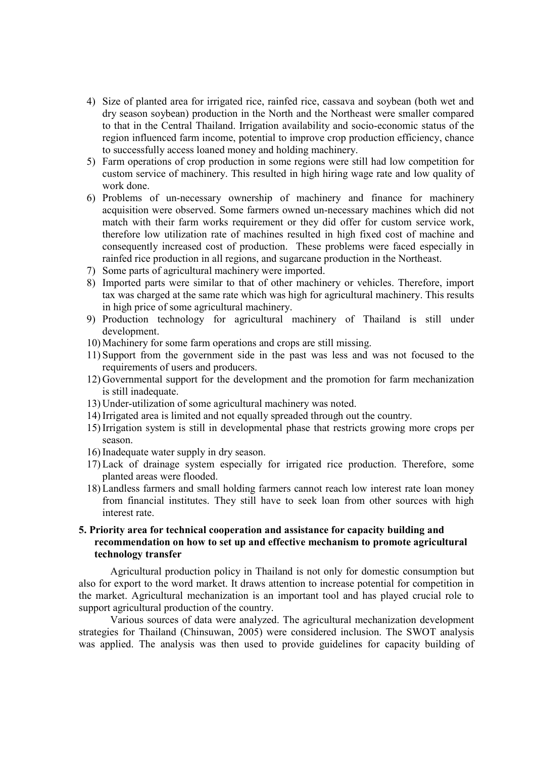- 4) Size of planted area for irrigated rice, rainfed rice, cassava and soybean (both wet and dry season soybean) production in the North and the Northeast were smaller compared to that in the Central Thailand. Irrigation availability and socio-economic status of the region influenced farm income, potential to improve crop production efficiency, chance to successfully access loaned money and holding machinery.
- 5) Farm operations of crop production in some regions were still had low competition for custom service of machinery. This resulted in high hiring wage rate and low quality of work done.
- 6) Problems of un-necessary ownership of machinery and finance for machinery acquisition were observed. Some farmers owned un-necessary machines which did not match with their farm works requirement or they did offer for custom service work, therefore low utilization rate of machines resulted in high fixed cost of machine and consequently increased cost of production. These problems were faced especially in rainfed rice production in all regions, and sugarcane production in the Northeast.
- 7) Some parts of agricultural machinery were imported.
- 8) Imported parts were similar to that of other machinery or vehicles. Therefore, import tax was charged at the same rate which was high for agricultural machinery. This results in high price of some agricultural machinery.
- 9) Production technology for agricultural machinery of Thailand is still under development.
- 10) Machinery for some farm operations and crops are still missing.
- 11) Support from the government side in the past was less and was not focused to the requirements of users and producers.
- 12) Governmental support for the development and the promotion for farm mechanization is still inadequate.
- 13) Under-utilization of some agricultural machinery was noted.
- 14)Irrigated area is limited and not equally spreaded through out the country.
- 15)Irrigation system is still in developmental phase that restricts growing more crops per season.
- 16)Inadequate water supply in dry season.
- 17) Lack of drainage system especially for irrigated rice production. Therefore, some planted areas were flooded.
- 18) Landless farmers and small holding farmers cannot reach low interest rate loan money from financial institutes. They still have to seek loan from other sources with high interest rate.

### **5. Priority area for technical cooperation and assistance for capacity building and recommendation on how to set up and effective mechanism to promote agricultural technology transfer**

 Agricultural production policy in Thailand is not only for domestic consumption but also for export to the word market. It draws attention to increase potential for competition in the market. Agricultural mechanization is an important tool and has played crucial role to support agricultural production of the country.

 Various sources of data were analyzed. The agricultural mechanization development strategies for Thailand (Chinsuwan, 2005) were considered inclusion. The SWOT analysis was applied. The analysis was then used to provide guidelines for capacity building of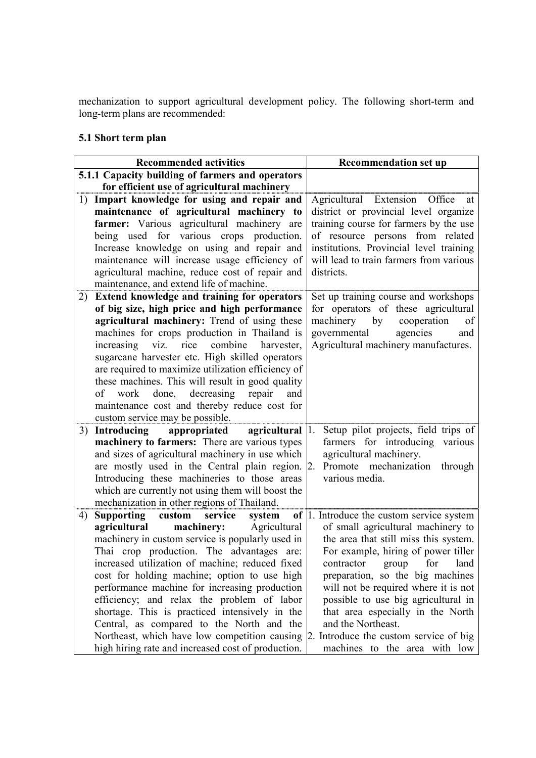mechanization to support agricultural development policy. The following short-term and long-term plans are recommended:

## **5.1 Short term plan**

| <b>Recommended activities</b> |                                                                                                       | <b>Recommendation set up</b>                  |
|-------------------------------|-------------------------------------------------------------------------------------------------------|-----------------------------------------------|
|                               | 5.1.1 Capacity building of farmers and operators                                                      |                                               |
|                               | for efficient use of agricultural machinery                                                           |                                               |
| 1)                            | Impart knowledge for using and repair and                                                             | Agricultural Extension Office<br>at           |
|                               | maintenance of agricultural machinery to                                                              | district or provincial level organize         |
|                               | farmer: Various agricultural machinery are                                                            | training course for farmers by the use        |
|                               | being used for various crops production.                                                              | of resource persons from related              |
|                               | Increase knowledge on using and repair and                                                            | institutions. Provincial level training       |
|                               | maintenance will increase usage efficiency of                                                         | will lead to train farmers from various       |
|                               | agricultural machine, reduce cost of repair and                                                       | districts.                                    |
|                               | maintenance, and extend life of machine.                                                              |                                               |
| 2)                            | Extend knowledge and training for operators                                                           | Set up training course and workshops          |
|                               | of big size, high price and high performance                                                          | for operators of these agricultural           |
|                               | agricultural machinery: Trend of using these                                                          | machinery by<br>cooperation<br>of             |
|                               | machines for crops production in Thailand is                                                          | governmental<br>agencies<br>and               |
|                               | combine<br>increasing viz.<br>rice<br>harvester,                                                      | Agricultural machinery manufactures.          |
|                               | sugarcane harvester etc. High skilled operators<br>are required to maximize utilization efficiency of |                                               |
|                               | these machines. This will result in good quality                                                      |                                               |
|                               | done, decreasing<br>work<br>repair<br>of<br>and                                                       |                                               |
|                               | maintenance cost and thereby reduce cost for                                                          |                                               |
|                               | custom service may be possible.                                                                       |                                               |
| 3)                            | appropriated<br>Introducing<br><b>agricultural</b>  1.                                                | Setup pilot projects, field trips of          |
|                               | machinery to farmers: There are various types                                                         | farmers for introducing<br>various            |
|                               | and sizes of agricultural machinery in use which                                                      | agricultural machinery.                       |
|                               | are mostly used in the Central plain region. 2.                                                       | Promote mechanization<br>through              |
|                               | Introducing these machineries to those areas                                                          | various media.                                |
|                               | which are currently not using them will boost the                                                     |                                               |
|                               | mechanization in other regions of Thailand.                                                           |                                               |
| 4)                            | Supporting custom<br>service<br>system                                                                | of $ 1$ . Introduce the custom service system |
|                               | agricultural<br>machinery:<br>Agricultural                                                            | of small agricultural machinery to            |
|                               | machinery in custom service is popularly used in                                                      | the area that still miss this system.         |
|                               | Thai crop production. The advantages are:                                                             | For example, hiring of power tiller           |
|                               | increased utilization of machine; reduced fixed                                                       | for<br>contractor<br>group<br>land            |
|                               | cost for holding machine; option to use high                                                          | preparation, so the big machines              |
|                               | performance machine for increasing production                                                         | will not be required where it is not          |
|                               | efficiency; and relax the problem of labor                                                            | possible to use big agricultural in           |
|                               | shortage. This is practiced intensively in the                                                        | that area especially in the North             |
|                               | Central, as compared to the North and the                                                             | and the Northeast.                            |
|                               | Northeast, which have low competition causing $\vert$ 2. Introduce the custom service of big          |                                               |
|                               | high hiring rate and increased cost of production.                                                    | machines to the area with low                 |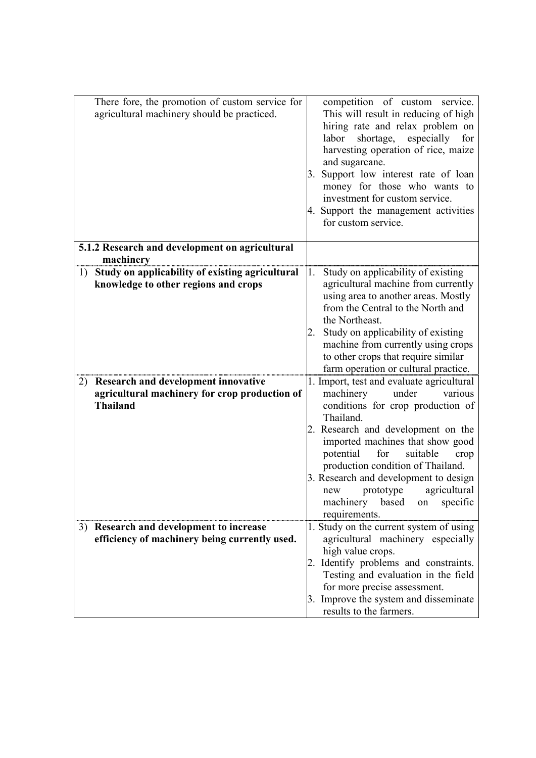| There fore, the promotion of custom service for<br>agricultural machinery should be practiced.                | competition of custom service.<br>This will result in reducing of high<br>hiring rate and relax problem on<br>especially<br>labor<br>shortage,<br>for<br>harvesting operation of rice, maize<br>and sugarcane.<br>Support low interest rate of loan<br>3.<br>money for those who wants to<br>investment for custom service.<br>4. Support the management activities<br>for custom service.                                |
|---------------------------------------------------------------------------------------------------------------|---------------------------------------------------------------------------------------------------------------------------------------------------------------------------------------------------------------------------------------------------------------------------------------------------------------------------------------------------------------------------------------------------------------------------|
| 5.1.2 Research and development on agricultural<br>machinery                                                   |                                                                                                                                                                                                                                                                                                                                                                                                                           |
| Study on applicability of existing agricultural<br>1)<br>knowledge to other regions and crops                 | Study on applicability of existing<br>1.<br>agricultural machine from currently<br>using area to another areas. Mostly<br>from the Central to the North and<br>the Northeast.<br>Study on applicability of existing<br>machine from currently using crops<br>to other crops that require similar<br>farm operation or cultural practice.                                                                                  |
| Research and development innovative<br>2)<br>agricultural machinery for crop production of<br><b>Thailand</b> | 1. Import, test and evaluate agricultural<br>under<br>machinery<br>various<br>conditions for crop production of<br>Thailand.<br>2. Research and development on the<br>imported machines that show good<br>potential<br>suitable<br>for<br>crop<br>production condition of Thailand.<br>3. Research and development to design<br>prototype<br>agricultural<br>new<br>machinery<br>based<br>specific<br>on<br>requirements. |
| 3) Research and development to increase<br>efficiency of machinery being currently used.                      | 1. Study on the current system of using<br>agricultural machinery especially<br>high value crops.<br>Identify problems and constraints.<br>Testing and evaluation in the field<br>for more precise assessment.<br>3. Improve the system and disseminate<br>results to the farmers.                                                                                                                                        |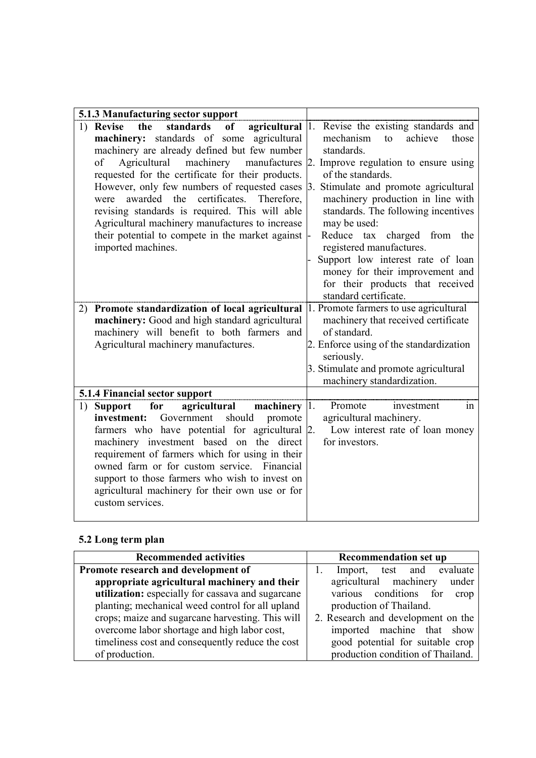| 5.1.3 Manufacturing sector support                                                                                                                                                                                                                                                                                                                                                                                                                                                                                                                            |                                                                                                                                                                                                                                                                                                                                                                                                                                                                                           |
|---------------------------------------------------------------------------------------------------------------------------------------------------------------------------------------------------------------------------------------------------------------------------------------------------------------------------------------------------------------------------------------------------------------------------------------------------------------------------------------------------------------------------------------------------------------|-------------------------------------------------------------------------------------------------------------------------------------------------------------------------------------------------------------------------------------------------------------------------------------------------------------------------------------------------------------------------------------------------------------------------------------------------------------------------------------------|
| standards<br>1) Revise<br>the<br><sub>of</sub><br>agricultural $ 1 $ .<br>machinery: standards of some<br>agricultural<br>machinery are already defined but few number<br>Agricultural<br>machinery<br>of<br>manufactures<br>requested for the certificate for their products.<br>However, only few numbers of requested cases<br>were awarded the certificates.<br>Therefore.<br>revising standards is required. This will able<br>Agricultural machinery manufactures to increase<br>their potential to compete in the market against<br>imported machines. | Revise the existing standards and<br>achieve<br>mechanism<br>to<br>those<br>standards.<br>2. Improve regulation to ensure using<br>of the standards.<br>3. Stimulate and promote agricultural<br>machinery production in line with<br>standards. The following incentives<br>may be used:<br>Reduce tax charged from the<br>registered manufactures.<br>Support low interest rate of loan<br>money for their improvement and<br>for their products that received<br>standard certificate. |
| 2) Promote standardization of local agricultural<br>machinery: Good and high standard agricultural<br>machinery will benefit to both farmers and<br>Agricultural machinery manufactures.                                                                                                                                                                                                                                                                                                                                                                      | 1. Promote farmers to use agricultural<br>machinery that received certificate<br>of standard.<br>2. Enforce using of the standardization<br>seriously.<br>3. Stimulate and promote agricultural<br>machinery standardization.                                                                                                                                                                                                                                                             |
| 5.1.4 Financial sector support                                                                                                                                                                                                                                                                                                                                                                                                                                                                                                                                |                                                                                                                                                                                                                                                                                                                                                                                                                                                                                           |
| for<br>agricultural<br>machinery $ 1 $ .<br><b>Support</b><br>1)<br>should<br>investment:<br>Government<br>promote<br>farmers who have potential for agricultural 2.<br>machinery investment based on the direct<br>requirement of farmers which for using in their<br>owned farm or for custom service. Financial<br>support to those farmers who wish to invest on<br>agricultural machinery for their own use or for<br>custom services.                                                                                                                   | Promote<br>investment<br>in<br>agricultural machinery.<br>Low interest rate of loan money<br>for investors.                                                                                                                                                                                                                                                                                                                                                                               |

## **5.2 Long term plan**

| <b>Recommended activities</b>                     | <b>Recommendation set up</b>       |
|---------------------------------------------------|------------------------------------|
| Promote research and development of               | test and evaluate<br>Import,       |
| appropriate agricultural machinery and their      | agricultural machinery<br>under    |
| utilization: especially for cassava and sugarcane | various conditions<br>for<br>crop  |
| planting; mechanical weed control for all upland  | production of Thailand.            |
| crops; maize and sugarcane harvesting. This will  | 2. Research and development on the |
| overcome labor shortage and high labor cost,      | imported machine that show         |
| timeliness cost and consequently reduce the cost  | good potential for suitable crop   |
| of production.                                    | production condition of Thailand.  |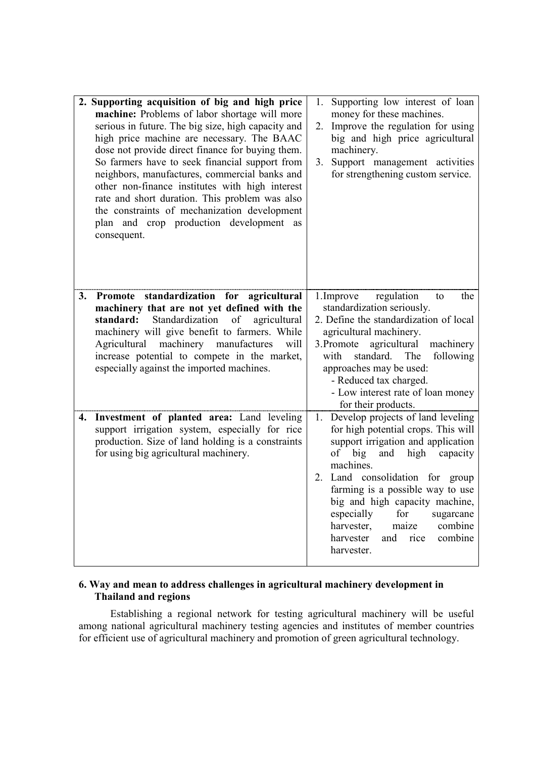|    | 2. Supporting acquisition of big and high price<br>machine: Problems of labor shortage will more<br>serious in future. The big size, high capacity and<br>high price machine are necessary. The BAAC<br>dose not provide direct finance for buying them.<br>So farmers have to seek financial support from<br>neighbors, manufactures, commercial banks and<br>other non-finance institutes with high interest<br>rate and short duration. This problem was also<br>the constraints of mechanization development<br>plan and crop production development as<br>consequent. | Supporting low interest of loan<br>1.<br>money for these machines.<br>Improve the regulation for using<br>2.<br>big and high price agricultural<br>machinery.<br>Support management activities<br>3.<br>for strengthening custom service.                                                                                                                                                       |
|----|----------------------------------------------------------------------------------------------------------------------------------------------------------------------------------------------------------------------------------------------------------------------------------------------------------------------------------------------------------------------------------------------------------------------------------------------------------------------------------------------------------------------------------------------------------------------------|-------------------------------------------------------------------------------------------------------------------------------------------------------------------------------------------------------------------------------------------------------------------------------------------------------------------------------------------------------------------------------------------------|
| 3. | Promote standardization for agricultural<br>machinery that are not yet defined with the<br>Standardization<br>of<br>standard:<br>agricultural<br>machinery will give benefit to farmers. While<br>Agricultural machinery manufactures<br>will<br>increase potential to compete in the market,<br>especially against the imported machines.                                                                                                                                                                                                                                 | 1. Improve<br>regulation<br>the<br>to<br>standardization seriously.<br>2. Define the standardization of local<br>agricultural machinery.<br>3. Promote agricultural<br>machinery<br>standard. The<br>with<br>following<br>approaches may be used:<br>- Reduced tax charged.<br>- Low interest rate of loan money<br>for their products.                                                         |
| 4. | Investment of planted area: Land leveling<br>support irrigation system, especially for rice<br>production. Size of land holding is a constraints<br>for using big agricultural machinery.                                                                                                                                                                                                                                                                                                                                                                                  | 1. Develop projects of land leveling<br>for high potential crops. This will<br>support irrigation and application<br>of big<br>and high capacity<br>machines.<br>2. Land consolidation for group<br>farming is a possible way to use<br>big and high capacity machine,<br>especially<br>for<br>sugarcane<br>harvester,<br>maize<br>combine<br>combine<br>harvester<br>and<br>rice<br>harvester. |

## **6. Way and mean to address challenges in agricultural machinery development in Thailand and regions**

 Establishing a regional network for testing agricultural machinery will be useful among national agricultural machinery testing agencies and institutes of member countries for efficient use of agricultural machinery and promotion of green agricultural technology.